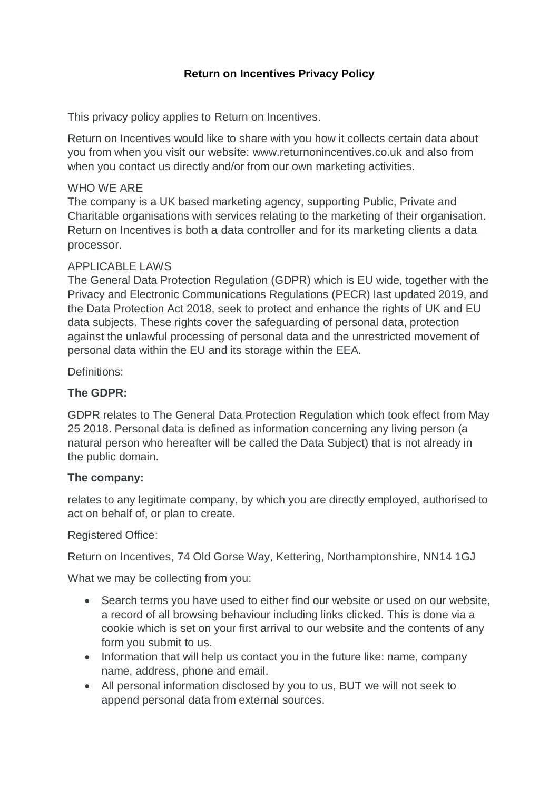## **Return on Incentives Privacy Policy**

This privacy policy applies to Return on Incentives.

Return on Incentives would like to share with you how it collects certain data about you from when you visit our website: www.returnonincentives.co.uk and also from when you contact us directly and/or from our own marketing activities.

#### WHO WE ARE

The company is a UK based marketing agency, supporting Public, Private and Charitable organisations with services relating to the marketing of their organisation. Return on Incentives is both a data controller and for its marketing clients a data processor.

#### APPLICABLE LAWS

The General Data Protection Regulation (GDPR) which is EU wide, together with the Privacy and Electronic Communications Regulations (PECR) last updated 2019, and the Data Protection Act 2018, seek to protect and enhance the rights of UK and EU data subjects. These rights cover the safeguarding of personal data, protection against the unlawful processing of personal data and the unrestricted movement of personal data within the EU and its storage within the EEA.

Definitions:

## **The GDPR:**

GDPR relates to The General Data Protection Regulation which took effect from May 25 2018. Personal data is defined as information concerning any living person (a natural person who hereafter will be called the Data Subject) that is not already in the public domain.

#### **The company:**

relates to any legitimate company, by which you are directly employed, authorised to act on behalf of, or plan to create.

#### Registered Office:

Return on Incentives, 74 Old Gorse Way, Kettering, Northamptonshire, NN14 1GJ

What we may be collecting from you:

- Search terms you have used to either find our website or used on our website, a record of all browsing behaviour including links clicked. This is done via a cookie which is set on your first arrival to our website and the contents of any form you submit to us.
- Information that will help us contact you in the future like: name, company name, address, phone and email.
- All personal information disclosed by you to us, BUT we will not seek to append personal data from external sources.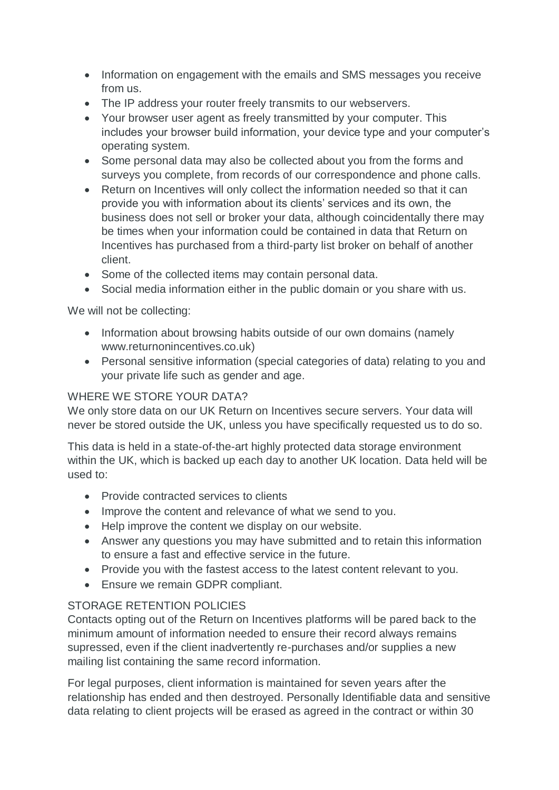- Information on engagement with the emails and SMS messages you receive from us.
- The IP address your router freely transmits to our webservers.
- Your browser user agent as freely transmitted by your computer. This includes your browser build information, your device type and your computer's operating system.
- Some personal data may also be collected about you from the forms and surveys you complete, from records of our correspondence and phone calls.
- Return on Incentives will only collect the information needed so that it can provide you with information about its clients' services and its own, the business does not sell or broker your data, although coincidentally there may be times when your information could be contained in data that Return on Incentives has purchased from a third-party list broker on behalf of another client.
- Some of the collected items may contain personal data.
- Social media information either in the public domain or you share with us.

We will not be collecting:

- Information about browsing habits outside of our own domains (namely www.returnonincentives.co.uk)
- Personal sensitive information (special categories of data) relating to you and your private life such as gender and age.

# WHERE WE STORE YOUR DATA?

We only store data on our UK Return on Incentives secure servers. Your data will never be stored outside the UK, unless you have specifically requested us to do so.

This data is held in a state-of-the-art highly protected data storage environment within the UK, which is backed up each day to another UK location. Data held will be used to:

- Provide contracted services to clients
- Improve the content and relevance of what we send to you.
- Help improve the content we display on our website.
- Answer any questions you may have submitted and to retain this information to ensure a fast and effective service in the future.
- Provide you with the fastest access to the latest content relevant to you.
- Ensure we remain GDPR compliant.

# STORAGE RETENTION POLICIES

Contacts opting out of the Return on Incentives platforms will be pared back to the minimum amount of information needed to ensure their record always remains supressed, even if the client inadvertently re-purchases and/or supplies a new mailing list containing the same record information.

For legal purposes, client information is maintained for seven years after the relationship has ended and then destroyed. Personally Identifiable data and sensitive data relating to client projects will be erased as agreed in the contract or within 30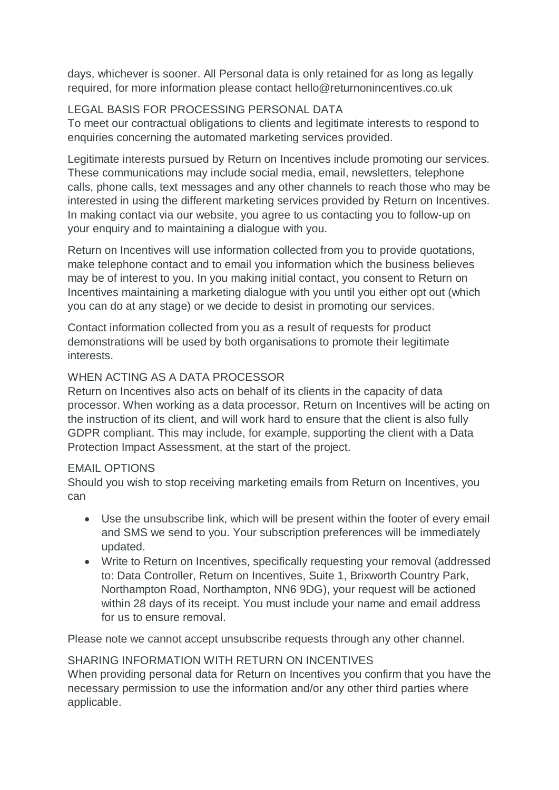days, whichever is sooner. All Personal data is only retained for as long as legally required, for more information please contact hello@returnonincentives.co.uk

# LEGAL BASIS FOR PROCESSING PERSONAL DATA

To meet our contractual obligations to clients and legitimate interests to respond to enquiries concerning the automated marketing services provided.

Legitimate interests pursued by Return on Incentives include promoting our services. These communications may include social media, email, newsletters, telephone calls, phone calls, text messages and any other channels to reach those who may be interested in using the different marketing services provided by Return on Incentives. In making contact via our website, you agree to us contacting you to follow-up on your enquiry and to maintaining a dialogue with you.

Return on Incentives will use information collected from you to provide quotations, make telephone contact and to email you information which the business believes may be of interest to you. In you making initial contact, you consent to Return on Incentives maintaining a marketing dialogue with you until you either opt out (which you can do at any stage) or we decide to desist in promoting our services.

Contact information collected from you as a result of requests for product demonstrations will be used by both organisations to promote their legitimate interests.

## WHEN ACTING AS A DATA PROCESSOR

Return on Incentives also acts on behalf of its clients in the capacity of data processor. When working as a data processor, Return on Incentives will be acting on the instruction of its client, and will work hard to ensure that the client is also fully GDPR compliant. This may include, for example, supporting the client with a Data Protection Impact Assessment, at the start of the project.

## EMAIL OPTIONS

Should you wish to stop receiving marketing emails from Return on Incentives, you can

- Use the unsubscribe link, which will be present within the footer of every email and SMS we send to you. Your subscription preferences will be immediately updated.
- Write to Return on Incentives, specifically requesting your removal (addressed to: Data Controller, Return on Incentives, Suite 1, Brixworth Country Park, Northampton Road, Northampton, NN6 9DG), your request will be actioned within 28 days of its receipt. You must include your name and email address for us to ensure removal.

Please note we cannot accept unsubscribe requests through any other channel.

## SHARING INFORMATION WITH RETURN ON INCENTIVES

When providing personal data for Return on Incentives you confirm that you have the necessary permission to use the information and/or any other third parties where applicable.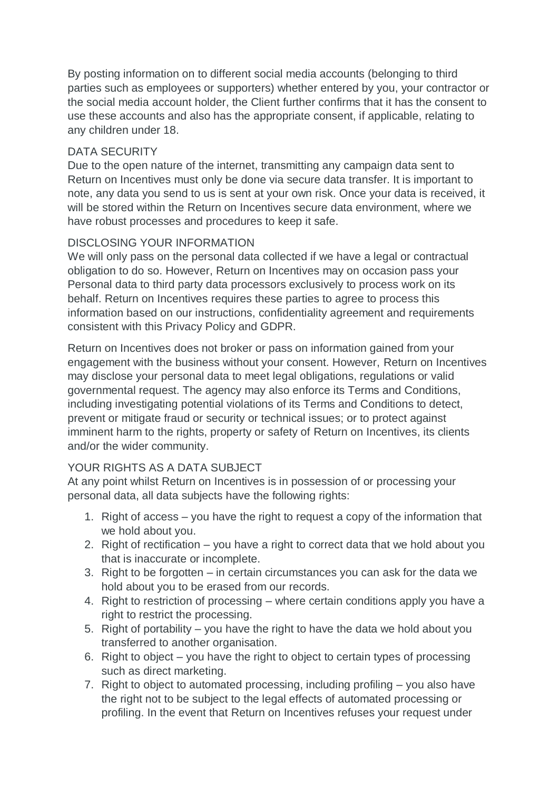By posting information on to different social media accounts (belonging to third parties such as employees or supporters) whether entered by you, your contractor or the social media account holder, the Client further confirms that it has the consent to use these accounts and also has the appropriate consent, if applicable, relating to any children under 18.

## DATA SECURITY

Due to the open nature of the internet, transmitting any campaign data sent to Return on Incentives must only be done via secure data transfer. It is important to note, any data you send to us is sent at your own risk. Once your data is received, it will be stored within the Return on Incentives secure data environment, where we have robust processes and procedures to keep it safe.

## DISCLOSING YOUR INFORMATION

We will only pass on the personal data collected if we have a legal or contractual obligation to do so. However, Return on Incentives may on occasion pass your Personal data to third party data processors exclusively to process work on its behalf. Return on Incentives requires these parties to agree to process this information based on our instructions, confidentiality agreement and requirements consistent with this Privacy Policy and GDPR.

Return on Incentives does not broker or pass on information gained from your engagement with the business without your consent. However, Return on Incentives may disclose your personal data to meet legal obligations, regulations or valid governmental request. The agency may also enforce its Terms and Conditions, including investigating potential violations of its Terms and Conditions to detect, prevent or mitigate fraud or security or technical issues; or to protect against imminent harm to the rights, property or safety of Return on Incentives, its clients and/or the wider community.

# YOUR RIGHTS AS A DATA SUBJECT

At any point whilst Return on Incentives is in possession of or processing your personal data, all data subjects have the following rights:

- 1. Right of access you have the right to request a copy of the information that we hold about you.
- 2. Right of rectification you have a right to correct data that we hold about you that is inaccurate or incomplete.
- 3. Right to be forgotten in certain circumstances you can ask for the data we hold about you to be erased from our records.
- 4. Right to restriction of processing where certain conditions apply you have a right to restrict the processing.
- 5. Right of portability you have the right to have the data we hold about you transferred to another organisation.
- 6. Right to object you have the right to object to certain types of processing such as direct marketing.
- 7. Right to object to automated processing, including profiling you also have the right not to be subject to the legal effects of automated processing or profiling. In the event that Return on Incentives refuses your request under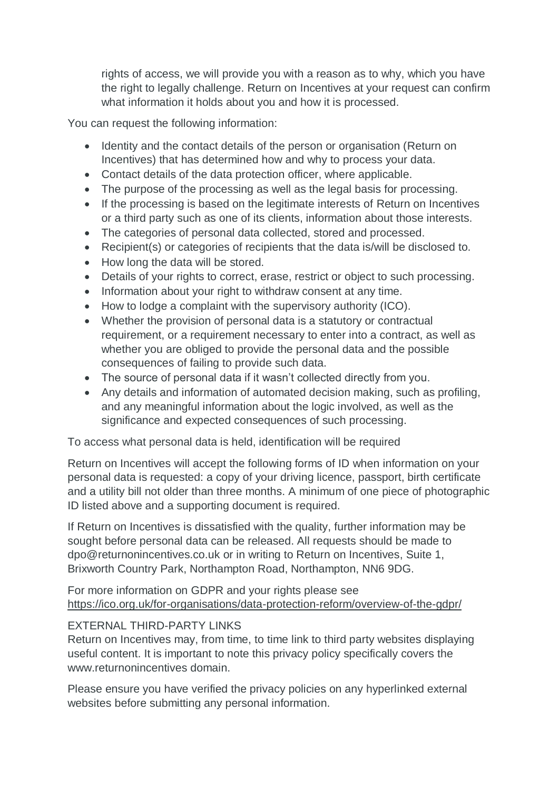rights of access, we will provide you with a reason as to why, which you have the right to legally challenge. Return on Incentives at your request can confirm what information it holds about you and how it is processed.

You can request the following information:

- Identity and the contact details of the person or organisation (Return on Incentives) that has determined how and why to process your data.
- Contact details of the data protection officer, where applicable.
- The purpose of the processing as well as the legal basis for processing.
- If the processing is based on the legitimate interests of Return on Incentives or a third party such as one of its clients, information about those interests.
- The categories of personal data collected, stored and processed.
- Recipient(s) or categories of recipients that the data is/will be disclosed to.
- How long the data will be stored.
- Details of your rights to correct, erase, restrict or object to such processing.
- Information about your right to withdraw consent at any time.
- How to lodge a complaint with the supervisory authority (ICO).
- Whether the provision of personal data is a statutory or contractual requirement, or a requirement necessary to enter into a contract, as well as whether you are obliged to provide the personal data and the possible consequences of failing to provide such data.
- The source of personal data if it wasn't collected directly from you.
- Any details and information of automated decision making, such as profiling, and any meaningful information about the logic involved, as well as the significance and expected consequences of such processing.

To access what personal data is held, identification will be required

Return on Incentives will accept the following forms of ID when information on your personal data is requested: a copy of your driving licence, passport, birth certificate and a utility bill not older than three months. A minimum of one piece of photographic ID listed above and a supporting document is required.

If Return on Incentives is dissatisfied with the quality, further information may be sought before personal data can be released. All requests should be made to dpo@returnonincentives.co.uk or in writing to Return on Incentives, Suite 1, Brixworth Country Park, Northampton Road, Northampton, NN6 9DG.

For more information on GDPR and your rights please see <https://ico.org.uk/for-organisations/data-protection-reform/overview-of-the-gdpr/>

## EXTERNAL THIRD-PARTY LINKS

Return on Incentives may, from time, to time link to third party websites displaying useful content. It is important to note this privacy policy specifically covers the www.returnonincentives domain.

Please ensure you have verified the privacy policies on any hyperlinked external websites before submitting any personal information.